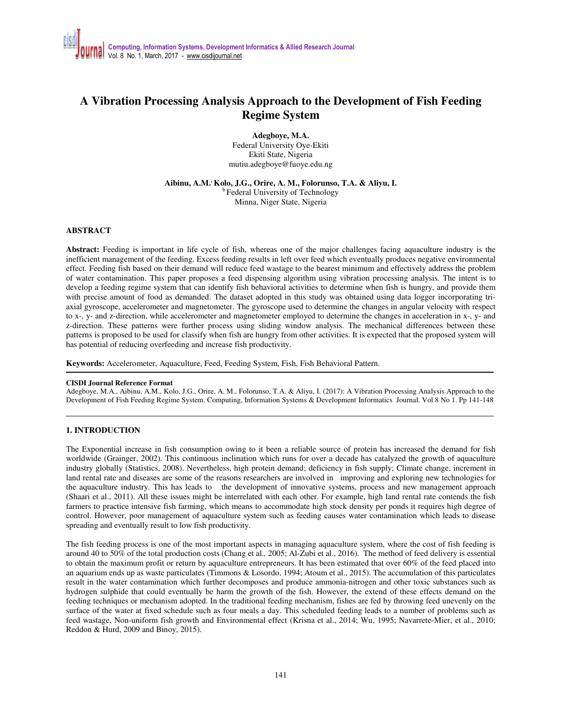# **A Vibration Processing Analysis Approach to the Development of Fish Feeding Regime System**

**Adegboye, M.A.**  Federal University Oye-Ekiti Ekiti State, Nigeria mutiu.adegboye@fuoye.edu.ng

**Aibinu, A.M., Kolo, J.G., Orire, A. M., Folorunso, T.A. & Aliyu, I.**  <sup>b</sup> Federal University of Technology Minna, Niger State, Nigeria

## **ABSTRACT**

**Abstract:** Feeding is important in life cycle of fish, whereas one of the major challenges facing aquaculture industry is the inefficient management of the feeding. Excess feeding results in left over feed which eventually produces negative environmental effect. Feeding fish based on their demand will reduce feed wastage to the bearest minimum and effectively address the problem of water contamination. This paper proposes a feed dispensing algorithm using vibration processing analysis. The intent is to develop a feeding regime system that can identify fish behavioral activities to determine when fish is hungry, and provide them with precise amount of food as demanded. The dataset adopted in this study was obtained using data logger incorporating triaxial gyroscope, accelerometer and magnetometer. The gyroscope used to determine the changes in angular velocity with respect to x-, y- and z-direction, while accelerometer and magnetometer employed to determine the changes in acceleration in x-, y- and z-direction. These patterns were further process using sliding window analysis. The mechanical differences between these patterns is proposed to be used for classify when fish are hungry from other activities. It is expected that the proposed system will has potential of reducing overfeeding and increase fish productivity.

**Keywords:** Accelerometer, Aquaculture, Feed, Feeding System, Fish, Fish Behavioral Pattern.

#### **CISDI Journal Reference Format**

Adegboye, M.A., Aibinu, A.M., Kolo, J.G., Orire, A. M., Folorunso, T.A. & Aliyu, I. (2017): A Vibration Processing Analysis Approach to the Development of Fish Feeding Regime System. Computing, Information Systems & Development Informatics Journal. Vol 8 No 1. Pp 141-148

## **1. INTRODUCTION**

The Exponential increase in fish consumption owing to it been a reliable source of protein has increased the demand for fish worldwide (Grainger, 2002). This continuous inclination which runs for over a decade has catalyzed the growth of aquaculture industry globally (Statistics, 2008). Nevertheless, high protein demand; deficiency in fish supply; Climate change, increment in land rental rate and diseases are some of the reasons researchers are involved in improving and exploring new technologies for the aquaculture industry. This has leads to the development of innovative systems, process and new management approach (Shaari et al., 2011). All these issues might be interrelated with each other. For example, high land rental rate contends the fish farmers to practice intensive fish farming, which means to accommodate high stock density per ponds it requires high degree of control. However, poor management of aquaculture system such as feeding causes water contamination which leads to disease spreading and eventually result to low fish productivity.

The fish feeding process is one of the most important aspects in managing aquaculture system, where the cost of fish feeding is around 40 to 50% of the total production costs (Chang et al.*,* 2005; Al-Zubi et al., 2016). The method of feed delivery is essential to obtain the maximum profit or return by aquaculture entrepreneurs. It has been estimated that over 60% of the feed placed into an aquarium ends up as waste particulates (Timmons & Losordo, 1994; Atoum et al., 2015). The accumulation of this particulates result in the water contamination which further decomposes and produce ammonia-nitrogen and other toxic substances such as hydrogen sulphide that could eventually be harm the growth of the fish. However, the extend of these effects demand on the feeding techniques or mechanism adopted. In the traditional feeding mechanism, fishes are fed by throwing feed unevenly on the surface of the water at fixed schedule such as four meals a day. This scheduled feeding leads to a number of problems such as feed wastage, Non-uniform fish growth and Environmental effect (Krisna et al., 2014; Wu, 1995; Navarrete-Mier, et al., 2010; Reddon & Hurd, 2009 and Binoy, 2015).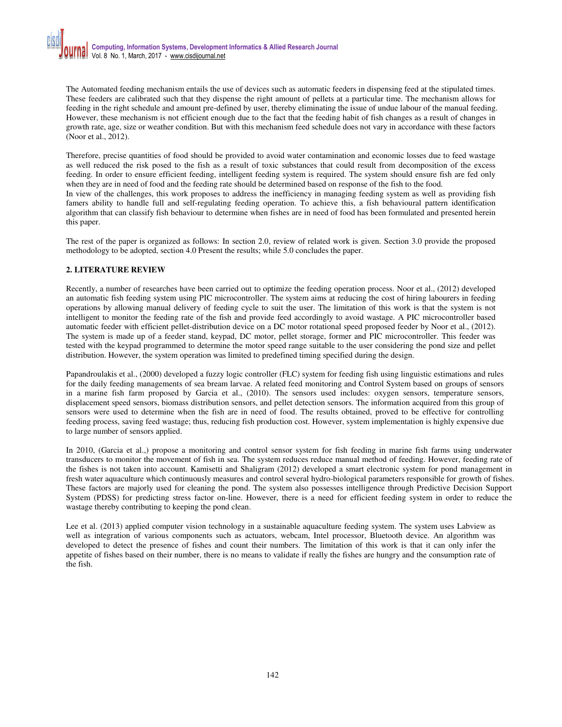The Automated feeding mechanism entails the use of devices such as automatic feeders in dispensing feed at the stipulated times. These feeders are calibrated such that they dispense the right amount of pellets at a particular time. The mechanism allows for feeding in the right schedule and amount pre-defined by user, thereby eliminating the issue of undue labour of the manual feeding. However, these mechanism is not efficient enough due to the fact that the feeding habit of fish changes as a result of changes in growth rate, age, size or weather condition. But with this mechanism feed schedule does not vary in accordance with these factors (Noor et al., 2012).

Therefore, precise quantities of food should be provided to avoid water contamination and economic losses due to feed wastage as well reduced the risk posed to the fish as a result of toxic substances that could result from decomposition of the excess feeding. In order to ensure efficient feeding, intelligent feeding system is required. The system should ensure fish are fed only when they are in need of food and the feeding rate should be determined based on response of the fish to the food.

In view of the challenges, this work proposes to address the inefficiency in managing feeding system as well as providing fish famers ability to handle full and self-regulating feeding operation. To achieve this, a fish behavioural pattern identification algorithm that can classify fish behaviour to determine when fishes are in need of food has been formulated and presented herein this paper.

The rest of the paper is organized as follows: In section 2.0, review of related work is given. Section 3.0 provide the proposed methodology to be adopted, section 4.0 Present the results; while 5.0 concludes the paper.

# **2. LITERATURE REVIEW**

Recently, a number of researches have been carried out to optimize the feeding operation process. Noor et al., (2012) developed an automatic fish feeding system using PIC microcontroller. The system aims at reducing the cost of hiring labourers in feeding operations by allowing manual delivery of feeding cycle to suit the user. The limitation of this work is that the system is not intelligent to monitor the feeding rate of the fish and provide feed accordingly to avoid wastage. A PIC microcontroller based automatic feeder with efficient pellet-distribution device on a DC motor rotational speed proposed feeder by Noor et al., (2012). The system is made up of a feeder stand, keypad, DC motor, pellet storage, former and PIC microcontroller. This feeder was tested with the keypad programmed to determine the motor speed range suitable to the user considering the pond size and pellet distribution. However, the system operation was limited to predefined timing specified during the design.

Papandroulakis et al., (2000) developed a fuzzy logic controller (FLC) system for feeding fish using linguistic estimations and rules for the daily feeding managements of sea bream larvae. A related feed monitoring and Control System based on groups of sensors in a marine fish farm proposed by Garcia et al., (2010). The sensors used includes: oxygen sensors, temperature sensors, displacement speed sensors, biomass distribution sensors, and pellet detection sensors. The information acquired from this group of sensors were used to determine when the fish are in need of food. The results obtained, proved to be effective for controlling feeding process, saving feed wastage; thus, reducing fish production cost. However, system implementation is highly expensive due to large number of sensors applied.

In 2010, (Garcia et al.,) propose a monitoring and control sensor system for fish feeding in marine fish farms using underwater transducers to monitor the movement of fish in sea. The system reduces reduce manual method of feeding. However, feeding rate of the fishes is not taken into account. Kamisetti and Shaligram (2012) developed a smart electronic system for pond management in fresh water aquaculture which continuously measures and control several hydro-biological parameters responsible for growth of fishes. These factors are majorly used for cleaning the pond. The system also possesses intelligence through Predictive Decision Support System (PDSS) for predicting stress factor on-line. However, there is a need for efficient feeding system in order to reduce the wastage thereby contributing to keeping the pond clean.

Lee et al. (2013) applied computer vision technology in a sustainable aquaculture feeding system. The system uses Labview as well as integration of various components such as actuators, webcam, Intel processor, Bluetooth device. An algorithm was developed to detect the presence of fishes and count their numbers. The limitation of this work is that it can only infer the appetite of fishes based on their number, there is no means to validate if really the fishes are hungry and the consumption rate of the fish.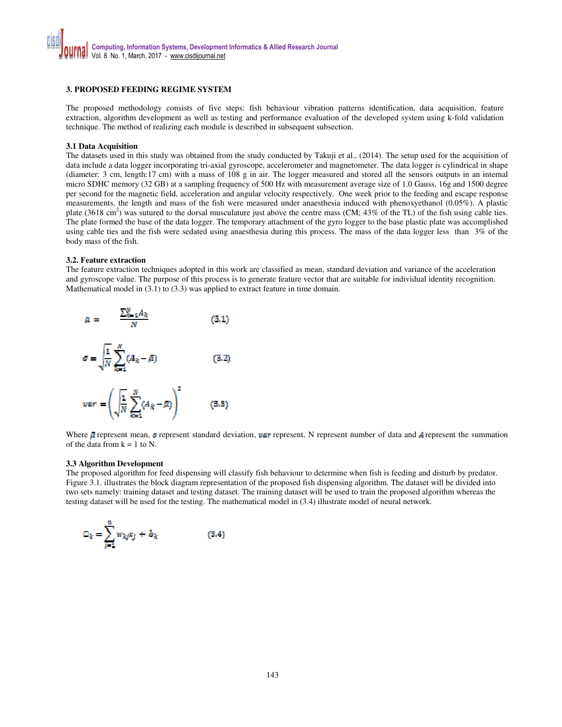## **3. PROPOSED FEEDING REGIME SYSTEM**

The proposed methodology consists of five steps: fish behaviour vibration patterns identification, data acquisition, feature extraction, algorithm development as well as testing and performance evaluation of the developed system using k-fold validation technique. The method of realizing each module is described in subsequent subsection.

### **3.1 Data Acquisition**

The datasets used in this study was obtained from the study conducted by Takuji et al., (2014). The setup used for the acquisition of data include a data logger incorporating tri-axial gyroscope, accelerometer and magnetometer. The data logger is cylindrical in shape (diameter: 3 cm, length:17 cm) with a mass of 108 g in air. The logger measured and stored all the sensors outputs in an internal micro SDHC memory (32 GB) at a sampling frequency of 500 Hz with measurement average size of 1.0 Gauss, 16g and 1500 degree per second for the magnetic field, acceleration and angular velocity respectively. One week prior to the feeding and escape response measurements, the length and mass of the fish were measured under anaesthesia induced with phenoxyethanol (0.05%). A plastic plate (3618 cm<sup>2</sup>) was sutured to the dorsal musculature just above the centre mass (CM; 43% of the TL) of the fish using cable ties. The plate formed the base of the data logger. The temporary attachment of the gyro logger to the base plastic plate was accomplished using cable ties and the fish were sedated using anaesthesia during this process. The mass of the data logger less than 3% of the body mass of the fish.

#### **3.2. Feature extraction**

The feature extraction techniques adopted in this work are classified as mean, standard deviation and variance of the acceleration and gyroscope value. The purpose of this process is to generate feature vector that are suitable for individual identity recognition. Mathematical model in (3.1) to (3.3) was applied to extract feature in time domain.



Where  $\bar{g}$  represent mean,  $\sigma$  represent standard deviation,  $\bar{g}q$  represent, N represent number of data and A represent the summation of the data from  $k = 1$  to N.

#### **3.3 Algorithm Development**

The proposed algorithm for feed dispensing will classify fish behaviour to determine when fish is feeding and disturb by predator. Figure 3.1. illustrates the block diagram representation of the proposed fish dispensing algorithm. The dataset will be divided into two sets namely: training dataset and testing dataset. The training dataset will be used to train the proposed algorithm whereas the testing dataset will be used for the testing. The mathematical model in (3.4) illustrate model of neural network.

$$
\Box_k = \sum_{j=1}^n w_{kj} x_j + b_k \tag{3.4}
$$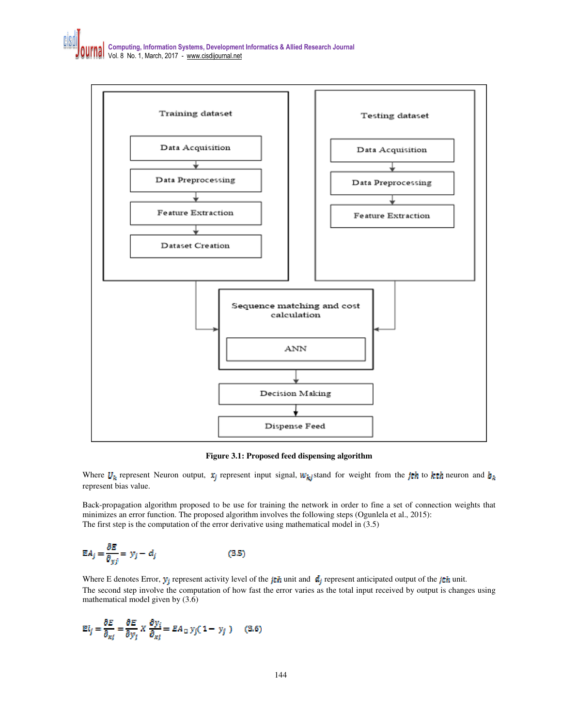

**Figure 3.1: Proposed feed dispensing algorithm** 

Where  $U_k$  represent Neuron output,  $x_i$  represent input signal,  $W_k$  istand for weight from the jth to kth neuron and  $b_k$ represent bias value.

Back-propagation algorithm proposed to be use for training the network in order to fine a set of connection weights that minimizes an error function. The proposed algorithm involves the following steps (Ogunlela et al., 2015): The first step is the computation of the error derivative using mathematical model in (3.5)

$$
\mathbb{E}A_j = \frac{\partial E}{\partial_{yj}} = y_j - d_j \tag{3.5}
$$

Where E denotes Error,  $y_i$  represent activity level of the  $i\tau h$  unit and  $d_i$  represent anticipated output of the  $j\tau h$  unit. The second step involve the computation of how fast the error varies as the total input received by output is changes using mathematical model given by (3.6)

$$
EI_j = \frac{\partial E}{\partial_{xj}} = \frac{\partial E}{\partial y_j} \times \frac{\partial y_i}{\partial_{xj}} = EA_{\square} y_j (1 - y_j)
$$
 (3.6)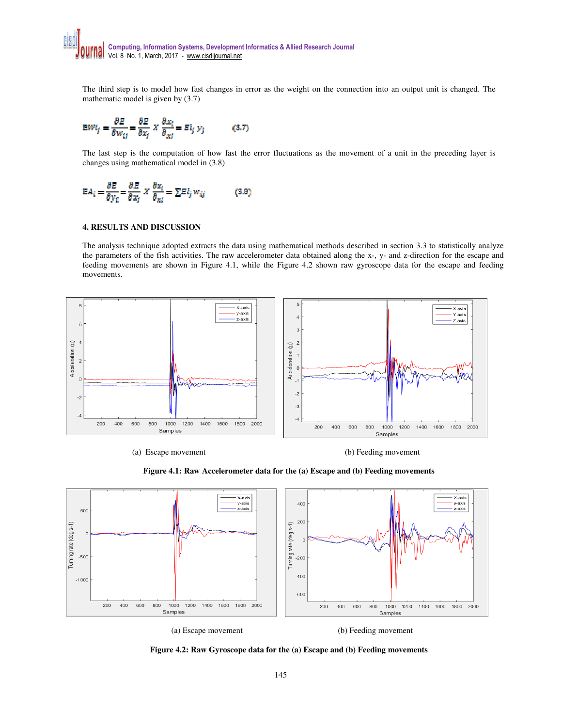The third step is to model how fast changes in error as the weight on the connection into an output unit is changed. The mathematic model is given by (3.7)

$$
E W i_j = \frac{\partial E}{\partial w_{ij}} = \frac{\partial E}{\partial x_j} \times \frac{\partial x_i}{\partial x_j} = E l_j \, y_j \tag{3.7}
$$

The last step is the computation of how fast the error fluctuations as the movement of a unit in the preceding layer is changes using mathematical model in (3.8)

$$
EA_i = \frac{\partial E}{\partial y_i} = \frac{\partial E}{\partial x_j} \times \frac{\partial x_i}{\partial x_j} = \sum E l_j w_{ij}
$$
 (3.8)

# **4. RESULTS AND DISCUSSION**

The analysis technique adopted extracts the data using mathematical methods described in section 3.3 to statistically analyze the parameters of the fish activities. The raw accelerometer data obtained along the x-, y- and z-direction for the escape and feeding movements are shown in Figure 4.1, while the Figure 4.2 shown raw gyroscope data for the escape and feeding movements.



(a) Escape movement (b) Feeding movement





(a) Escape movement (b) Feeding movement

**Figure 4.2: Raw Gyroscope data for the (a) Escape and (b) Feeding movements**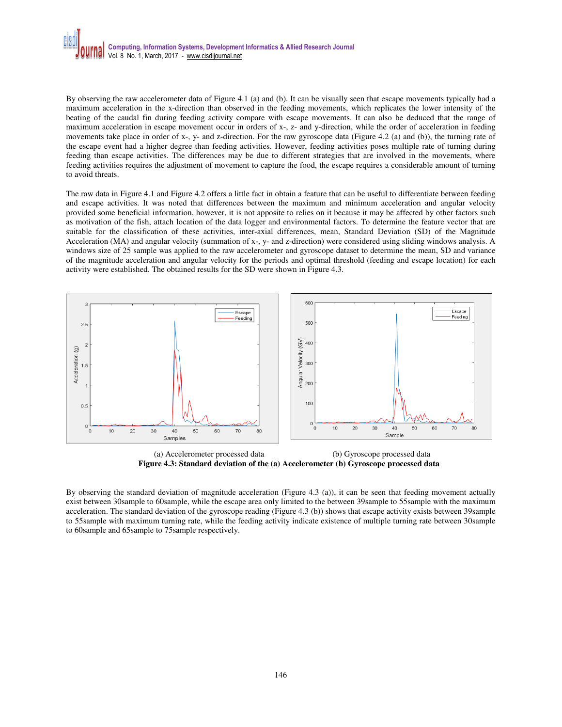

By observing the raw accelerometer data of Figure 4.1 (a) and (b). It can be visually seen that escape movements typically had a maximum acceleration in the x-direction than observed in the feeding movements, which replicates the lower intensity of the beating of the caudal fin during feeding activity compare with escape movements. It can also be deduced that the range of maximum acceleration in escape movement occur in orders of x-, z- and y-direction, while the order of acceleration in feeding movements take place in order of x-, y- and z-direction. For the raw gyroscope data (Figure 4.2 (a) and (b)), the turning rate of the escape event had a higher degree than feeding activities. However, feeding activities poses multiple rate of turning during feeding than escape activities. The differences may be due to different strategies that are involved in the movements, where feeding activities requires the adjustment of movement to capture the food, the escape requires a considerable amount of turning to avoid threats.

The raw data in Figure 4.1 and Figure 4.2 offers a little fact in obtain a feature that can be useful to differentiate between feeding and escape activities. It was noted that differences between the maximum and minimum acceleration and angular velocity provided some beneficial information, however, it is not apposite to relies on it because it may be affected by other factors such as motivation of the fish, attach location of the data logger and environmental factors. To determine the feature vector that are suitable for the classification of these activities, inter-axial differences, mean, Standard Deviation (SD) of the Magnitude Acceleration (MA) and angular velocity (summation of x-, y- and z-direction) were considered using sliding windows analysis. A windows size of 25 sample was applied to the raw accelerometer and gyroscope dataset to determine the mean, SD and variance of the magnitude acceleration and angular velocity for the periods and optimal threshold (feeding and escape location) for each activity were established. The obtained results for the SD were shown in Figure 4.3.



 (a) Accelerometer processed data (b) Gyroscope processed data **Figure 4.3: Standard deviation of the (a) Accelerometer (b) Gyroscope processed data** 

By observing the standard deviation of magnitude acceleration (Figure 4.3 (a)), it can be seen that feeding movement actually exist between 30sample to 60sample, while the escape area only limited to the between 39sample to 55sample with the maximum acceleration. The standard deviation of the gyroscope reading (Figure 4.3 (b)) shows that escape activity exists between 39sample to 55sample with maximum turning rate, while the feeding activity indicate existence of multiple turning rate between 30sample to 60sample and 65sample to 75sample respectively.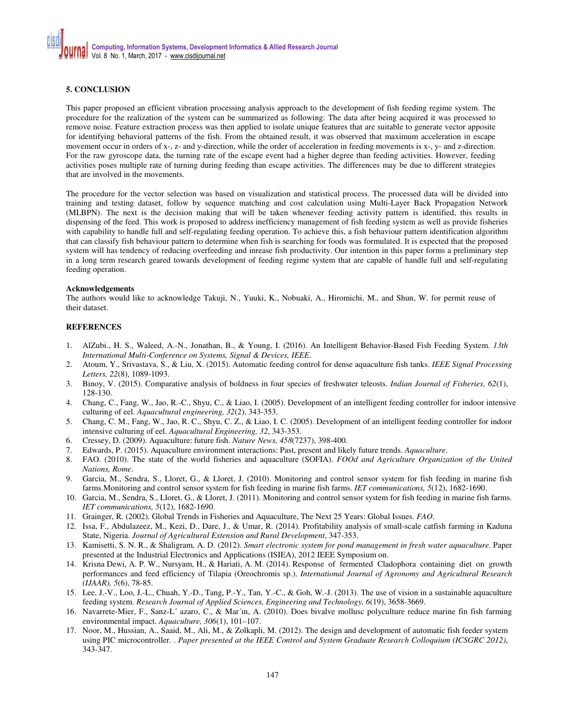# **5. CONCLUSION**

This paper proposed an efficient vibration processing analysis approach to the development of fish feeding regime system. The procedure for the realization of the system can be summarized as following: The data after being acquired it was processed to remove noise. Feature extraction process was then applied to isolate unique features that are suitable to generate vector apposite for identifying behavioral patterns of the fish. From the obtained result, it was observed that maximum acceleration in escape movement occur in orders of x-, z- and y-direction, while the order of acceleration in feeding movements is x-, y- and z-direction. For the raw gyroscope data, the turning rate of the escape event had a higher degree than feeding activities. However, feeding activities poses multiple rate of turning during feeding than escape activities. The differences may be due to different strategies that are involved in the movements.

The procedure for the vector selection was based on visualization and statistical process. The processed data will be divided into training and testing dataset, follow by sequence matching and cost calculation using Multi-Layer Back Propagation Network (MLBPN). The next is the decision making that will be taken whenever feeding activity pattern is identified, this results in dispensing of the feed. This work is proposed to address inefficiency management of fish feeding system as well as provide fisheries with capability to handle full and self-regulating feeding operation. To achieve this, a fish behaviour pattern identification algorithm that can classify fish behaviour pattern to determine when fish is searching for foods was formulated. It is expected that the proposed system will has tendency of reducing overfeeding and inrease fish productivity. Our intention in this paper forms a preliminary step in a long term research geared towards development of feeding regime system that are capable of handle full and self-regulating feeding operation.

## **Acknowledgements**

The authors would like to acknowledge Takuji, N., Yuuki, K., Nobuaki, A., Hiromichi, M., and Shun, W. for permit reuse of their dataset.

# **REFERENCES**

- 1. AlZubi., H. S., Waleed, A.-N., Jonathan, B., & Young, I. (2016). An Intelligent Behavior-Based Fish Feeding System. *13th International Multi-Conference on Systems, Signal & Devices, IEEE*.
- 2. Atoum, Y., Srivastava, S., & Liu, X. (2015). Automatic feeding control for dense aquaculture fish tanks. *IEEE Signal Processing Letters, 22*(8), 1089-1093.
- 3. Binoy, V. (2015). Comparative analysis of boldness in four species of freshwater teleosts. *Indian Journal of Fisheries, 62*(1), 128-130.
- 4. Chang, C., Fang, W., Jao, R.-C., Shyu, C., & Liao, I. (2005). Development of an intelligent feeding controller for indoor intensive culturing of eel. *Aquacultural engineering, 32*(2), 343-353.
- 5. Chang, C. M., Fang, W., Jao, R. C., Shyu, C. Z., & Liao, I. C. (2005). Development of an intelligent feeding controller for indoor intensive culturing of eel. *Aquacultural Engineering, 32*, 343-353.
- 6. Cressey, D. (2009). Aquaculture: future fish. *Nature News, 458*(7237), 398-400.
- 7. Edwards, P. (2015). Aquaculture environment interactions: Past, present and likely future trends. *Aquaculture*.
- 8. FAO. (2010). The state of the world fisheries and aquaculture (SOFIA). *FOOd and Agriculture Organization of the United Nations, Rome*.
- 9. Garcia, M., Sendra, S., Lloret, G., & Lloret, J. (2010). Monitoring and control sensor system for fish feeding in marine fish farms.Monitoring and control sensor system for fish feeding in marine fish farms. *IET communications, 5*(12), 1682-1690.
- 10. Garcia, M., Sendra, S., Lloret, G., & Lloret, J. (2011). Monitoring and control sensor system for fish feeding in marine fish farms. *IET communications, 5*(12), 1682-1690.
- 11. Grainger, R. (2002). Global Trends in Fisheries and Aquaculture, The Next 25 Years: Global Issues. *FAO*.
- 12. Issa, F., Abdulazeez, M., Kezi, D., Dare, J., & Umar, R. (2014). Profitability analysis of small-scale catfish farming in Kaduna State, Nigeria. *Journal of Agricultural Extension and Rural Development*, 347-353.
- 13. Kamisetti, S. N. R., & Shaligram, A. D. (2012). *Smart electronic system for pond management in fresh water aquaculture.* Paper presented at the Industrial Electronics and Applications (ISIEA), 2012 IEEE Symposium on.
- 14. Krisna Dewi, A. P. W., Nursyam, H., & Hariati, A. M. (2014). Response of fermented Cladophora containing diet on growth performances and feed efficiency of Tilapia (Oreochromis sp.). *International Journal of Agronomy and Agricultural Research (IJAAR), 5*(6), 78-85.
- 15. Lee, J.-V., Loo, J.-L., Chuah, Y.-D., Tang, P.-Y., Tan, Y.-C., & Goh, W.-J. (2013). The use of vision in a sustainable aquaculture feeding system. *Research Journal of Applied Sciences, Engineering and Technology, 6*(19), 3658-3669.
- 16. Navarrete-Mier, F., Sanz-L´ azaro, C., & Mar´ın, A. (2010). Does bivalve mollusc polyculture reduce marine fin fish farming environmental impact. *Aquaculture, 306*(1), 101–107.
- 17. Noor, M., Hussian, A., Saaid, M., Ali, M., & Zolkapli, M. (2012). The design and development of automatic fish feeder system using PIC microcontroller. . *Paper presented at the IEEE Control and System Graduate Research Colloquium (ICSGRC 2012)*, 343-347.